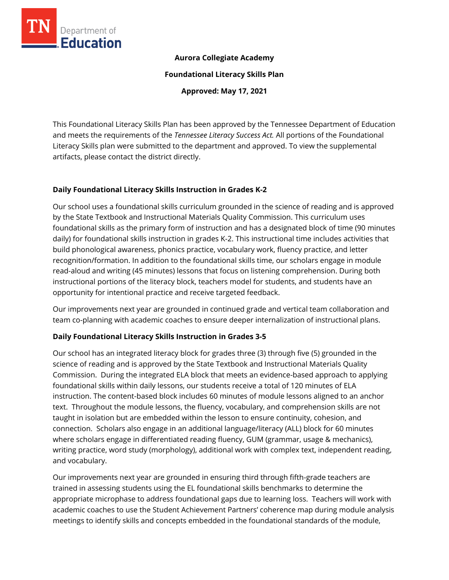

### **Aurora Collegiate Academy**

**Foundational Literacy Skills Plan**

**Approved: May 17, 2021**

This Foundational Literacy Skills Plan has been approved by the Tennessee Department of Education and meets the requirements of the *Tennessee Literacy Success Act.* All portions of the Foundational Literacy Skills plan were submitted to the department and approved. To view the supplemental artifacts, please contact the district directly.

#### **Daily Foundational Literacy Skills Instruction in Grades K-2**

Our school uses a foundational skills curriculum grounded in the science of reading and is approved by the State Textbook and Instructional Materials Quality Commission. This curriculum uses foundational skills as the primary form of instruction and has a designated block of time (90 minutes daily) for foundational skills instruction in grades K-2. This instructional time includes activities that build phonological awareness, phonics practice, vocabulary work, fluency practice, and letter recognition/formation. In addition to the foundational skills time, our scholars engage in module read-aloud and writing (45 minutes) lessons that focus on listening comprehension. During both instructional portions of the literacy block, teachers model for students, and students have an opportunity for intentional practice and receive targeted feedback.

Our improvements next year are grounded in continued grade and vertical team collaboration and team co-planning with academic coaches to ensure deeper internalization of instructional plans.

#### **Daily Foundational Literacy Skills Instruction in Grades 3-5**

Our school has an integrated literacy block for grades three (3) through five (5) grounded in the science of reading and is approved by the State Textbook and Instructional Materials Quality Commission. During the integrated ELA block that meets an evidence-based approach to applying foundational skills within daily lessons, our students receive a total of 120 minutes of ELA instruction. The content-based block includes 60 minutes of module lessons aligned to an anchor text. Throughout the module lessons, the fluency, vocabulary, and comprehension skills are not taught in isolation but are embedded within the lesson to ensure continuity, cohesion, and connection. Scholars also engage in an additional language/literacy (ALL) block for 60 minutes where scholars engage in differentiated reading fluency, GUM (grammar, usage & mechanics), writing practice, word study (morphology), additional work with complex text, independent reading, and vocabulary.

Our improvements next year are grounded in ensuring third through fifth-grade teachers are trained in assessing students using the EL foundational skills benchmarks to determine the appropriate microphase to address foundational gaps due to learning loss. Teachers will work with academic coaches to use the Student Achievement Partners' coherence map during module analysis meetings to identify skills and concepts embedded in the foundational standards of the module,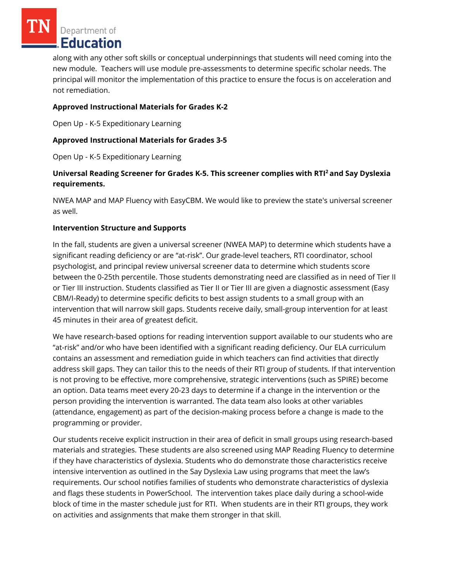Department of Education

along with any other soft skills or conceptual underpinnings that students will need coming into the new module. Teachers will use module pre-assessments to determine specific scholar needs. The principal will monitor the implementation of this practice to ensure the focus is on acceleration and not remediation.

## **Approved Instructional Materials for Grades K-2**

Open Up - K-5 Expeditionary Learning

### **Approved Instructional Materials for Grades 3-5**

Open Up - K-5 Expeditionary Learning

# **Universal Reading Screener for Grades K-5. This screener complies with RTI<sup>2</sup>and Say Dyslexia requirements.**

NWEA MAP and MAP Fluency with EasyCBM. We would like to preview the state's universal screener as well.

#### **Intervention Structure and Supports**

In the fall, students are given a universal screener (NWEA MAP) to determine which students have a significant reading deficiency or are "at-risk". Our grade-level teachers, RTI coordinator, school psychologist, and principal review universal screener data to determine which students score between the 0-25th percentile. Those students demonstrating need are classified as in need of Tier II or Tier III instruction. Students classified as Tier II or Tier III are given a diagnostic assessment (Easy CBM/I-Ready) to determine specific deficits to best assign students to a small group with an intervention that will narrow skill gaps. Students receive daily, small-group intervention for at least 45 minutes in their area of greatest deficit.

We have research-based options for reading intervention support available to our students who are "at-risk" and/or who have been identified with a significant reading deficiency. Our ELA curriculum contains an assessment and remediation guide in which teachers can find activities that directly address skill gaps. They can tailor this to the needs of their RTI group of students. If that intervention is not proving to be effective, more comprehensive, strategic interventions (such as SPIRE) become an option. Data teams meet every 20-23 days to determine if a change in the intervention or the person providing the intervention is warranted. The data team also looks at other variables (attendance, engagement) as part of the decision-making process before a change is made to the programming or provider.

Our students receive explicit instruction in their area of deficit in small groups using research-based materials and strategies. These students are also screened using MAP Reading Fluency to determine if they have characteristics of dyslexia. Students who do demonstrate those characteristics receive intensive intervention as outlined in the Say Dyslexia Law using programs that meet the law's requirements. Our school notifies families of students who demonstrate characteristics of dyslexia and flags these students in PowerSchool. The intervention takes place daily during a school-wide block of time in the master schedule just for RTI. When students are in their RTI groups, they work on activities and assignments that make them stronger in that skill.